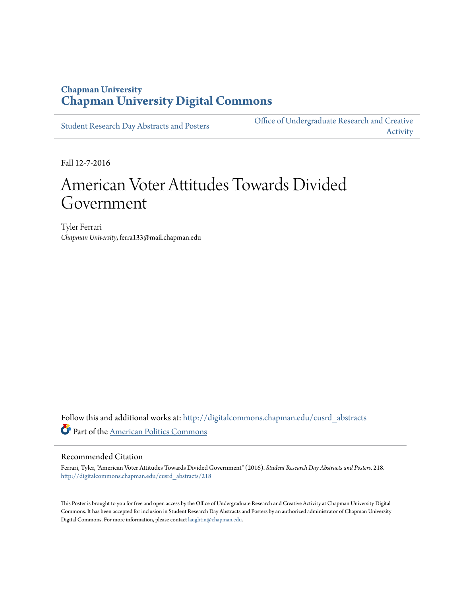### **Chapman University [Chapman University Digital Commons](http://digitalcommons.chapman.edu?utm_source=digitalcommons.chapman.edu%2Fcusrd_abstracts%2F218&utm_medium=PDF&utm_campaign=PDFCoverPages)**

[Student Research Day Abstracts and Posters](http://digitalcommons.chapman.edu/cusrd_abstracts?utm_source=digitalcommons.chapman.edu%2Fcusrd_abstracts%2F218&utm_medium=PDF&utm_campaign=PDFCoverPages)

[Office of Undergraduate Research and Creative](http://digitalcommons.chapman.edu/our?utm_source=digitalcommons.chapman.edu%2Fcusrd_abstracts%2F218&utm_medium=PDF&utm_campaign=PDFCoverPages) [Activity](http://digitalcommons.chapman.edu/our?utm_source=digitalcommons.chapman.edu%2Fcusrd_abstracts%2F218&utm_medium=PDF&utm_campaign=PDFCoverPages)

Fall 12-7-2016

### American Voter Attitudes Towards Divided Government

Tyler Ferrari *Chapman University*, ferra133@mail.chapman.edu

Follow this and additional works at: [http://digitalcommons.chapman.edu/cusrd\\_abstracts](http://digitalcommons.chapman.edu/cusrd_abstracts?utm_source=digitalcommons.chapman.edu%2Fcusrd_abstracts%2F218&utm_medium=PDF&utm_campaign=PDFCoverPages) Part of the [American Politics Commons](http://network.bepress.com/hgg/discipline/387?utm_source=digitalcommons.chapman.edu%2Fcusrd_abstracts%2F218&utm_medium=PDF&utm_campaign=PDFCoverPages)

### Recommended Citation

Ferrari, Tyler, "American Voter Attitudes Towards Divided Government" (2016). *Student Research Day Abstracts and Posters*. 218. [http://digitalcommons.chapman.edu/cusrd\\_abstracts/218](http://digitalcommons.chapman.edu/cusrd_abstracts/218?utm_source=digitalcommons.chapman.edu%2Fcusrd_abstracts%2F218&utm_medium=PDF&utm_campaign=PDFCoverPages)

This Poster is brought to you for free and open access by the Office of Undergraduate Research and Creative Activity at Chapman University Digital Commons. It has been accepted for inclusion in Student Research Day Abstracts and Posters by an authorized administrator of Chapman University Digital Commons. For more information, please contact [laughtin@chapman.edu](mailto:laughtin@chapman.edu).